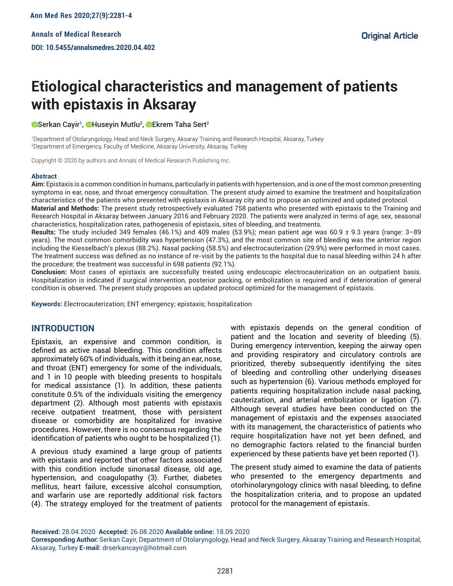# **Etiological characteristics and management of patients with epistaxis in Aksaray**

Serkan Cayir<sup>1</sup>, ©Huseyin Mutlu<sup>2</sup>, ©Ekrem Taha Sert<sup>2</sup>

1 Department of Otolaryngology, Head and Neck Surgery, Aksaray Training and Research Hospital, Aksaray, Turkey 2 Department of Emergency, Faculty of Medicine, Aksaray University, Aksaray, Turkey

Copyright © 2020 by authors and Annals of Medical Research Publishing Inc.

#### **Abstract**

**Aim:** Epistaxis is a common condition in humans, particularly in patients with hypertension, and is one of the most common presenting symptoms in ear, nose, and throat emergency consultation. The present study aimed to examine the treatment and hospitalization characteristics of the patients who presented with epistaxis in Aksaray city and to propose an optimized and updated protocol.

**Material and Methods:** The present study retrospectively evaluated 758 patients who presented with epistaxis to the Training and Research Hospital in Aksaray between January 2016 and February 2020. The patients were analyzed in terms of age, sex, seasonal characteristics, hospitalization rates, pathogenesis of epistaxis, sites of bleeding, and treatments.

**Results:** The study included 349 females (46.1%) and 409 males (53.9%); mean patient age was 60.9 ± 9.3 years (range: 3–89 years). The most common comorbidity was hypertension (47.3%), and the most common site of bleeding was the anterior region including the Kiesselbach's plexus (88.2%). Nasal packing (58.5%) and electrocauterization (29.9%) were performed in most cases. The treatment success was defined as no instance of re-visit by the patients to the hospital due to nasal bleeding within 24 h after the procedure; the treatment was successful in 698 patients (92.1%).

**Conclusion:** Most cases of epistaxis are successfully treated using endoscopic electrocauterization on an outpatient basis. Hospitalization is indicated if surgical intervention, posterior packing, or embolization is required and if deterioration of general condition is observed. The present study proposes an updated protocol optimized for the management of epistaxis.

**Keywords:** Electrocauterization; ENT emergency; epistaxis; hospitalization

## **INTRODUCTION**

Epistaxis, an expensive and common condition, is defined as active nasal bleeding. This condition affects approximately 60% of individuals, with it being an ear, nose, and throat (ENT) emergency for some of the individuals, and 1 in 10 people with bleeding presents to hospitals for medical assistance (1). In addition, these patients constitute 0.5% of the individuals visiting the emergency department (2). Although most patients with epistaxis receive outpatient treatment, those with persistent disease or comorbidity are hospitalized for invasive procedures. However, there is no consensus regarding the identification of patients who ought to be hospitalized (1).

A previous study examined a large group of patients with epistaxis and reported that other factors associated with this condition include sinonasal disease, old age, hypertension, and coagulopathy (3). Further, diabetes mellitus, heart failure, excessive alcohol consumption, and warfarin use are reportedly additional risk factors (4). The strategy employed for the treatment of patients

with epistaxis depends on the general condition of patient and the location and severity of bleeding (5). During emergency intervention, keeping the airway open and providing respiratory and circulatory controls are prioritized, thereby subsequently identifying the sites of bleeding and controlling other underlying diseases such as hypertension (6). Various methods employed for patients requiring hospitalization include nasal packing, cauterization, and arterial embolization or ligation (7). Although several studies have been conducted on the management of epistaxis and the expenses associated with its management, the characteristics of patients who require hospitalization have not yet been defined, and no demographic factors related to the financial burden experienced by these patients have yet been reported (1).

The present study aimed to examine the data of patients who presented to the emergency departments and otorhinolaryngology clinics with nasal bleeding, to define the hospitalization criteria, and to propose an updated protocol for the management of epistaxis.

**Received:** 28.04.2020 **Accepted:** 26.08.2020 **Available online:** 18.09.2020

**Corresponding Author:** Serkan Cayir, Department of Otolaryngology, Head and Neck Surgery, Aksaray Training and Research Hospital, Aksaray, Turkey **E-mail:** drserkancayir@hotmail.com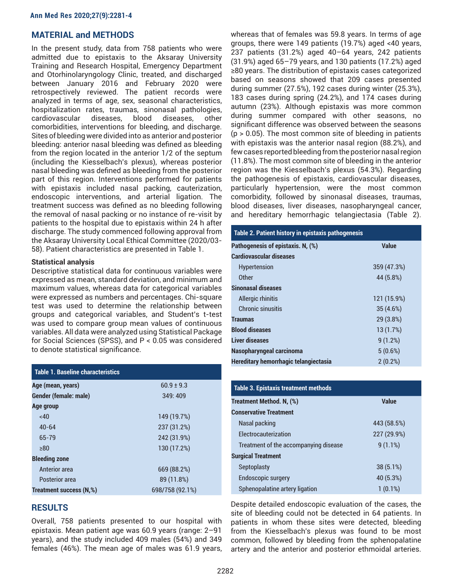## **MATERIAL and METHODS**

In the present study, data from 758 patients who were admitted due to epistaxis to the Aksaray University Training and Research Hospital, Emergency Department and Otorhinolaryngology Clinic, treated, and discharged between January 2016 and February 2020 were retrospectively reviewed. The patient records were analyzed in terms of age, sex, seasonal characteristics, hospitalization rates, traumas, sinonasal pathologies, cardiovascular diseases, blood diseases, other comorbidities, interventions for bleeding, and discharge. Sites of bleeding were divided into as anterior and posterior bleeding: anterior nasal bleeding was defined as bleeding from the region located in the anterior 1/2 of the septum (including the Kiesselbach's plexus), whereas posterior nasal bleeding was defined as bleeding from the posterior part of this region. Interventions performed for patients with epistaxis included nasal packing, cauterization, endoscopic interventions, and arterial ligation. The treatment success was defined as no bleeding following the removal of nasal packing or no instance of re-visit by patients to the hospital due to epistaxis within 24 h after discharge. The study commenced following approval from the Aksaray University Local Ethical Committee (2020/03- 58). Patient characteristics are presented in Table 1.

#### **Statistical analysis**

Descriptive statistical data for continuous variables were expressed as mean, standard deviation, and minimum and maximum values, whereas data for categorical variables were expressed as numbers and percentages. Chi-square test was used to determine the relationship between groups and categorical variables, and Student's t-test was used to compare group mean values of continuous variables. All data were analyzed using Statistical Package for Social Sciences (SPSS), and P < 0.05 was considered to denote statistical significance.

| <b>Table 1. Baseline characteristics</b> |                 |
|------------------------------------------|-----------------|
| Age (mean, years)                        | $60.9 \pm 9.3$  |
| Gender (female: male)                    | 349:409         |
| Age group                                |                 |
| <40                                      | 149 (19.7%)     |
| $40 - 64$                                | 237 (31.2%)     |
| 65-79                                    | 242 (31.9%)     |
| >80                                      | 130 (17.2%)     |
| <b>Bleeding zone</b>                     |                 |
| Anterior area                            | 669 (88.2%)     |
| Posterior area                           | 89 (11.8%)      |
| Treatment success (N,%)                  | 698/758 (92.1%) |

## **RESULTS**

Overall, 758 patients presented to our hospital with epistaxis. Mean patient age was 60.9 years (range: 2–91 years), and the study included 409 males (54%) and 349 females (46%). The mean age of males was 61.9 years, whereas that of females was 59.8 years. In terms of age groups, there were 149 patients (19.7%) aged <40 years, 237 patients (31.2%) aged 40–64 years, 242 patients (31.9%) aged 65–79 years, and 130 patients (17.2%) aged ≥80 years. The distribution of epistaxis cases categorized based on seasons showed that 209 cases presented during summer (27.5%), 192 cases during winter (25.3%), 183 cases during spring (24.2%), and 174 cases during autumn (23%). Although epistaxis was more common during summer compared with other seasons, no significant difference was observed between the seasons  $(p > 0.05)$ . The most common site of bleeding in patients with epistaxis was the anterior nasal region (88.2%), and few cases reported bleeding from the posterior nasal region (11.8%). The most common site of bleeding in the anterior region was the Kiesselbach's plexus (54.3%). Regarding the pathogenesis of epistaxis, cardiovascular diseases, particularly hypertension, were the most common comorbidity, followed by sinonasal diseases, traumas, blood diseases, liver diseases, nasopharyngeal cancer, and hereditary hemorrhagic telangiectasia (Table 2).

| Table 2. Patient history in epistaxis pathogenesis |              |  |
|----------------------------------------------------|--------------|--|
| Pathogenesis of epistaxis. N, (%)                  | <b>Value</b> |  |
| Cardiovascular diseases                            |              |  |
| <b>Hypertension</b>                                | 359 (47.3%)  |  |
| Other                                              | 44 (5.8%)    |  |
| <b>Sinonasal diseases</b>                          |              |  |
| Allergic rhinitis                                  | 121 (15.9%)  |  |
| Chronic sinusitis                                  | 35 (4.6%)    |  |
| <b>Traumas</b>                                     | 29 (3.8%)    |  |
| <b>Blood diseases</b>                              | 13(1.7%)     |  |
| <b>Liver diseases</b>                              | 9(1.2%)      |  |
| Nasopharyngeal carcinoma                           | 5(0.6%)      |  |
| Hereditary hemorrhagic telangiectasia              | $2(0.2\%)$   |  |

| <b>Table 3. Epistaxis treatment methods</b> |             |  |
|---------------------------------------------|-------------|--|
| Treatment Method. N. (%)                    | Value       |  |
| <b>Conservative Treatment</b>               |             |  |
| Nasal packing                               | 443 (58.5%) |  |
| <b>Electrocauterization</b>                 | 227 (29.9%) |  |
| Treatment of the accompanying disease       | $9(1.1\%)$  |  |
| <b>Surgical Treatment</b>                   |             |  |
| Septoplasty                                 | 38 (5.1%)   |  |
| <b>Endoscopic surgery</b>                   | 40 (5.3%)   |  |
| Sphenopalatine artery ligation              | $1(0.1\%)$  |  |

Despite detailed endoscopic evaluation of the cases, the site of bleeding could not be detected in 64 patients. In patients in whom these sites were detected, bleeding from the Kiesselbach's plexus was found to be most common, followed by bleeding from the sphenopalatine artery and the anterior and posterior ethmoidal arteries.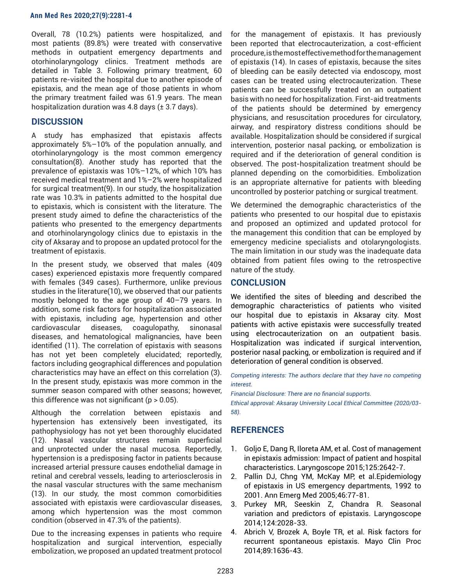#### **Ann Med Res 2020;27(9):2281-4**

Overall, 78 (10.2%) patients were hospitalized, and most patients (89.8%) were treated with conservative methods in outpatient emergency departments and otorhinolaryngology clinics. Treatment methods are detailed in Table 3. Following primary treatment, 60 patients re-visited the hospital due to another episode of epistaxis, and the mean age of those patients in whom the primary treatment failed was 61.9 years. The mean hospitalization duration was 4.8 days  $(\pm 3.7 \text{ days})$ .

## **DISCUSSION**

A study has emphasized that epistaxis affects approximately 5%–10% of the population annually, and otorhinolaryngology is the most common emergency consultation(8). Another study has reported that the prevalence of epistaxis was 10%–12%, of which 10% has received medical treatment and 1%–2% were hospitalized for surgical treatment(9). In our study, the hospitalization rate was 10.3% in patients admitted to the hospital due to epistaxis, which is consistent with the literature. The present study aimed to define the characteristics of the patients who presented to the emergency departments and otorhinolaryngology clinics due to epistaxis in the city of Aksaray and to propose an updated protocol for the treatment of epistaxis.

In the present study, we observed that males (409 cases) experienced epistaxis more frequently compared with females (349 cases). Furthermore, unlike previous studies in the literature(10), we observed that our patients mostly belonged to the age group of 40–79 years. In addition, some risk factors for hospitalization associated with epistaxis, including age, hypertension and other cardiovascular diseases, coagulopathy, sinonasal diseases, and hematological malignancies, have been identified (11). The correlation of epistaxis with seasons has not yet been completely elucidated; reportedly, factors including geographical differences and population characteristics may have an effect on this correlation (3). In the present study, epistaxis was more common in the summer season compared with other seasons; however, this difference was not significant ( $p > 0.05$ ).

Although the correlation between epistaxis and hypertension has extensively been investigated, its pathophysiology has not yet been thoroughly elucidated (12). Nasal vascular structures remain superficial and unprotected under the nasal mucosa. Reportedly, hypertension is a predisposing factor in patients because increased arterial pressure causes endothelial damage in retinal and cerebral vessels, leading to arteriosclerosis in the nasal vascular structures with the same mechanism (13). In our study, the most common comorbidities associated with epistaxis were cardiovascular diseases, among which hypertension was the most common condition (observed in 47.3% of the patients).

Due to the increasing expenses in patients who require hospitalization and surgical intervention, especially embolization, we proposed an updated treatment protocol

for the management of epistaxis. It has previously been reported that electrocauterization, a cost-efficient procedure, is the most effective method for the management of epistaxis (14). In cases of epistaxis, because the sites of bleeding can be easily detected via endoscopy, most cases can be treated using electrocauterization. These patients can be successfully treated on an outpatient basis with no need for hospitalization. First-aid treatments of the patients should be determined by emergency physicians, and resuscitation procedures for circulatory, airway, and respiratory distress conditions should be available. Hospitalization should be considered if surgical intervention, posterior nasal packing, or embolization is required and if the deterioration of general condition is observed. The post-hospitalization treatment should be planned depending on the comorbidities. Embolization is an appropriate alternative for patients with bleeding uncontrolled by posterior patching or surgical treatment.

We determined the demographic characteristics of the patients who presented to our hospital due to epistaxis and proposed an optimized and updated protocol for the management this condition that can be employed by emergency medicine specialists and otolaryngologists. The main limitation in our study was the inadequate data obtained from patient files owing to the retrospective nature of the study.

## **CONCLUSION**

We identified the sites of bleeding and described the demographic characteristics of patients who visited our hospital due to epistaxis in Aksaray city. Most patients with active epistaxis were successfully treated using electrocauterization on an outpatient basis. Hospitalization was indicated if surgical intervention, posterior nasal packing, or embolization is required and if deterioration of general condition is observed.

*Competing interests: The authors declare that they have no competing interest.*

*Financial Disclosure: There are no financial supports. Ethical approval: Aksaray University Local Ethical Committee (2020/03- 58).*

## **REFERENCES**

- 1. Goljo E, Dang R, Iloreta AM, et al. Cost of management in epistaxis admission: Impact of patient and hospital characteristics. Laryngoscope 2015;125:2642-7.
- 2. Pallin DJ, Chng YM, McKay MP, et al.Epidemiology of epistaxis in US emergency departments, 1992 to 2001. Ann Emerg Med 2005;46:77-81.
- 3. Purkey MR, Seeskin Z, Chandra R. Seasonal variation and predictors of epistaxis. Laryngoscope 2014;124:2028-33.
- 4. Abrich V, Brozek A, Boyle TR, et al. Risk factors for recurrent spontaneous epistaxis. Mayo Clin Proc 2014;89:1636-43.